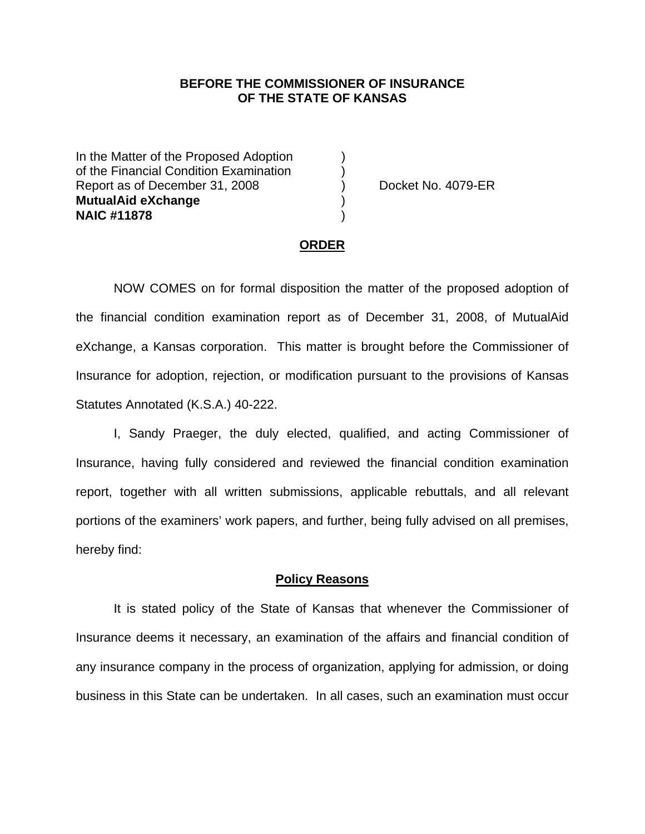## **BEFORE THE COMMISSIONER OF INSURANCE OF THE STATE OF KANSAS**

In the Matter of the Proposed Adoption of the Financial Condition Examination ) Report as of December 31, 2008 (a) Docket No. 4079-ER **MutualAid eXchange** ) **NAIC #11878** )

### **ORDER**

 NOW COMES on for formal disposition the matter of the proposed adoption of the financial condition examination report as of December 31, 2008, of MutualAid eXchange, a Kansas corporation. This matter is brought before the Commissioner of Insurance for adoption, rejection, or modification pursuant to the provisions of Kansas Statutes Annotated (K.S.A.) 40-222.

 I, Sandy Praeger, the duly elected, qualified, and acting Commissioner of Insurance, having fully considered and reviewed the financial condition examination report, together with all written submissions, applicable rebuttals, and all relevant portions of the examiners' work papers, and further, being fully advised on all premises, hereby find:

### **Policy Reasons**

 It is stated policy of the State of Kansas that whenever the Commissioner of Insurance deems it necessary, an examination of the affairs and financial condition of any insurance company in the process of organization, applying for admission, or doing business in this State can be undertaken. In all cases, such an examination must occur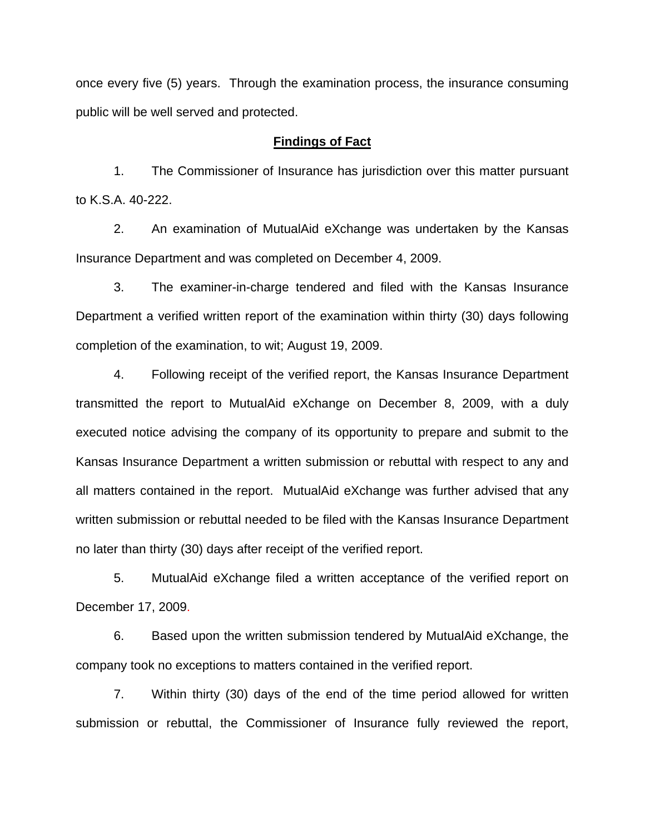once every five (5) years. Through the examination process, the insurance consuming public will be well served and protected.

## **Findings of Fact**

 1. The Commissioner of Insurance has jurisdiction over this matter pursuant to K.S.A. 40-222.

 2. An examination of MutualAid eXchange was undertaken by the Kansas Insurance Department and was completed on December 4, 2009.

 3. The examiner-in-charge tendered and filed with the Kansas Insurance Department a verified written report of the examination within thirty (30) days following completion of the examination, to wit; August 19, 2009.

 4. Following receipt of the verified report, the Kansas Insurance Department transmitted the report to MutualAid eXchange on December 8, 2009, with a duly executed notice advising the company of its opportunity to prepare and submit to the Kansas Insurance Department a written submission or rebuttal with respect to any and all matters contained in the report. MutualAid eXchange was further advised that any written submission or rebuttal needed to be filed with the Kansas Insurance Department no later than thirty (30) days after receipt of the verified report.

 5. MutualAid eXchange filed a written acceptance of the verified report on December 17, 2009.

6. Based upon the written submission tendered by MutualAid eXchange, the company took no exceptions to matters contained in the verified report.

 7. Within thirty (30) days of the end of the time period allowed for written submission or rebuttal, the Commissioner of Insurance fully reviewed the report,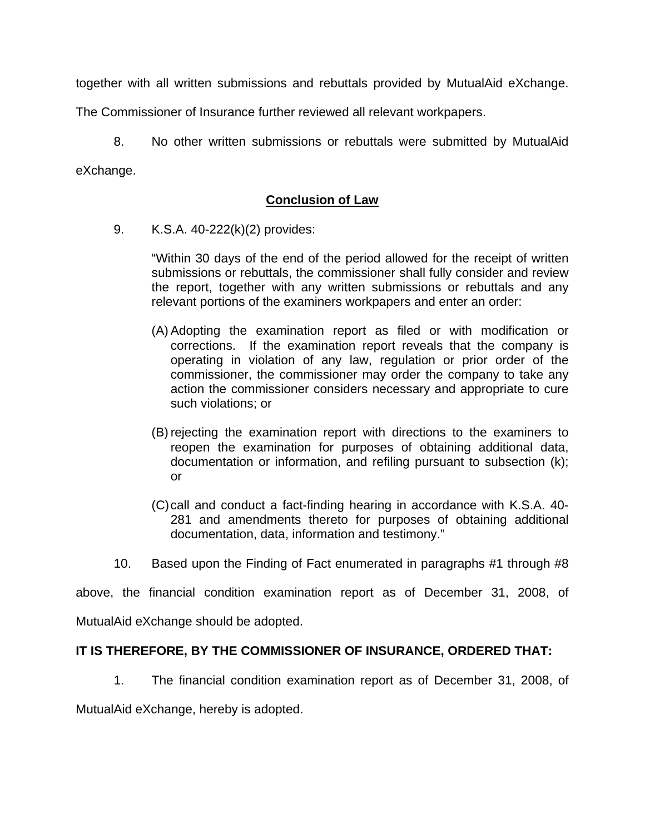together with all written submissions and rebuttals provided by MutualAid eXchange.

The Commissioner of Insurance further reviewed all relevant workpapers.

 8. No other written submissions or rebuttals were submitted by MutualAid eXchange.

# **Conclusion of Law**

9. K.S.A. 40-222(k)(2) provides:

"Within 30 days of the end of the period allowed for the receipt of written submissions or rebuttals, the commissioner shall fully consider and review the report, together with any written submissions or rebuttals and any relevant portions of the examiners workpapers and enter an order:

- (A) Adopting the examination report as filed or with modification or corrections. If the examination report reveals that the company is operating in violation of any law, regulation or prior order of the commissioner, the commissioner may order the company to take any action the commissioner considers necessary and appropriate to cure such violations; or
- (B) rejecting the examination report with directions to the examiners to reopen the examination for purposes of obtaining additional data, documentation or information, and refiling pursuant to subsection (k); or
- (C) call and conduct a fact-finding hearing in accordance with K.S.A. 40- 281 and amendments thereto for purposes of obtaining additional documentation, data, information and testimony."
- 10. Based upon the Finding of Fact enumerated in paragraphs #1 through #8

above, the financial condition examination report as of December 31, 2008, of

MutualAid eXchange should be adopted.

# **IT IS THEREFORE, BY THE COMMISSIONER OF INSURANCE, ORDERED THAT:**

1. The financial condition examination report as of December 31, 2008, of

MutualAid eXchange, hereby is adopted.